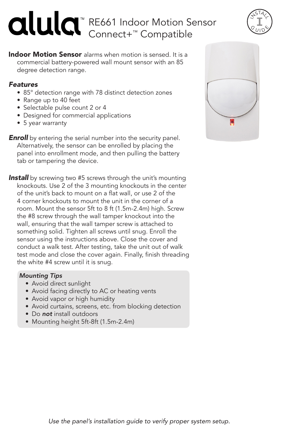# RE661 Indoor Motion Sensor Connect+™ Compatible

**Indoor Motion Sensor** alarms when motion is sensed. It is a commercial battery-powered wall mount sensor with an 85 degree detection range.

### *Features*

- 85° detection range with 78 distinct detection zones
- Range up to 40 feet
- Selectable pulse count 2 or 4
- Designed for commercial applications
- 5 year warranty

**Enroll** by entering the serial number into the security panel. Alternatively, the sensor can be enrolled by placing the panel into enrollment mode, and then pulling the battery tab or tampering the device.

**Install** by screwing two #5 screws through the unit's mounting knockouts. Use 2 of the 3 mounting knockouts in the center of the unit's back to mount on a flat wall, or use 2 of the 4 corner knockouts to mount the unit in the corner of a room. Mount the sensor 5ft to 8 ft (1.5m-2.4m) high. Screw the #8 screw through the wall tamper knockout into the wall, ensuring that the wall tamper screw is attached to something solid. Tighten all screws until snug. Enroll the sensor using the instructions above. Close the cover and conduct a walk test. After testing, take the unit out of walk test mode and close the cover again. Finally, finish threading the white #4 screw until it is snug.

## *Mounting Tips*

- Avoid direct sunlight
- Avoid facing directly to AC or heating vents
- Avoid vapor or high humidity
- Avoid curtains, screens, etc. from blocking detection
- Do *not* install outdoors
- Mounting height 5ft-8ft (1.5m-2.4m)



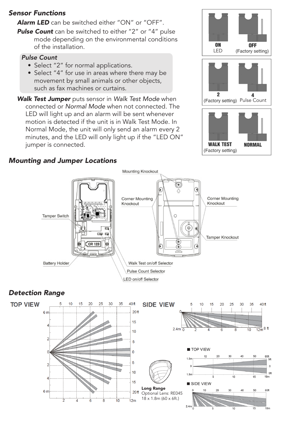### *Sensor Functions*

*Alarm LED* can be switched either "ON" or "OFF".

**Pulse Count** can be switched to either "2" or "4" pulse mode depending on the environmental conditions of the installation.

#### *Pulse Count*

- Select "2" for normal applications.
- Select "4" for use in areas where there may be movement by small animals or other objects, such as fax machines or curtains.
- *Walk Test Jumper* puts sensor in *Walk Test Mode* when connected or *Normal Mode* when not connected. The LED will light up and an alarm will be sent whenever motion is detected if the unit is in Walk Test Mode. In Normal Mode, the unit will only send an alarm every 2 minutes, and the LED will only light up if the "LED ON" jumper is connected.





#### *Mounting and Jumper Locations*



# *Detection Range*

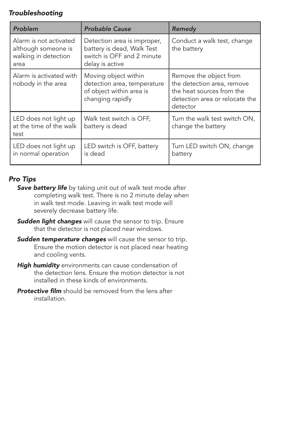# *Troubleshooting*

| Problem                                                                       | <b>Probable Cause</b>                                                                                      | Remedy                                                                                                                          |
|-------------------------------------------------------------------------------|------------------------------------------------------------------------------------------------------------|---------------------------------------------------------------------------------------------------------------------------------|
| Alarm is not activated<br>although someone is<br>walking in detection<br>area | Detection area is improper,<br>battery is dead, Walk Test<br>switch is OFF and 2 minute<br>delay is active | Conduct a walk test, change<br>the battery                                                                                      |
| Alarm is activated with<br>nobody in the area                                 | Moving object within<br>detection area, temperature<br>of object within area is<br>changing rapidly        | Remove the object from<br>the detection area, remove<br>the heat sources from the<br>detection area or relocate the<br>detector |
| LED does not light up<br>at the time of the walk<br>test                      | Walk test switch is OFF,<br>battery is dead                                                                | Turn the walk test switch ON,<br>change the battery                                                                             |
| LED does not light up<br>in normal operation                                  | LED switch is OFF, battery<br>is dead                                                                      | Turn LED switch ON, change<br>battery                                                                                           |

# *Pro Tips*

- **Save battery life** by taking unit out of walk test mode after completing walk test. There is no 2 minute delay when in walk test mode. Leaving in walk test mode will severely decrease battery life.
- *Sudden light changes* will cause the sensor to trip. Ensure that the detector is not placed near windows.
- *Sudden temperature changes* will cause the sensor to trip. Ensure the motion detector is not placed near heating and cooling vents.
- *High humidity* environments can cause condensation of the detection lens. Ensure the motion detector is not installed in these kinds of environments.
- **Protective film** should be removed from the lens after installation.